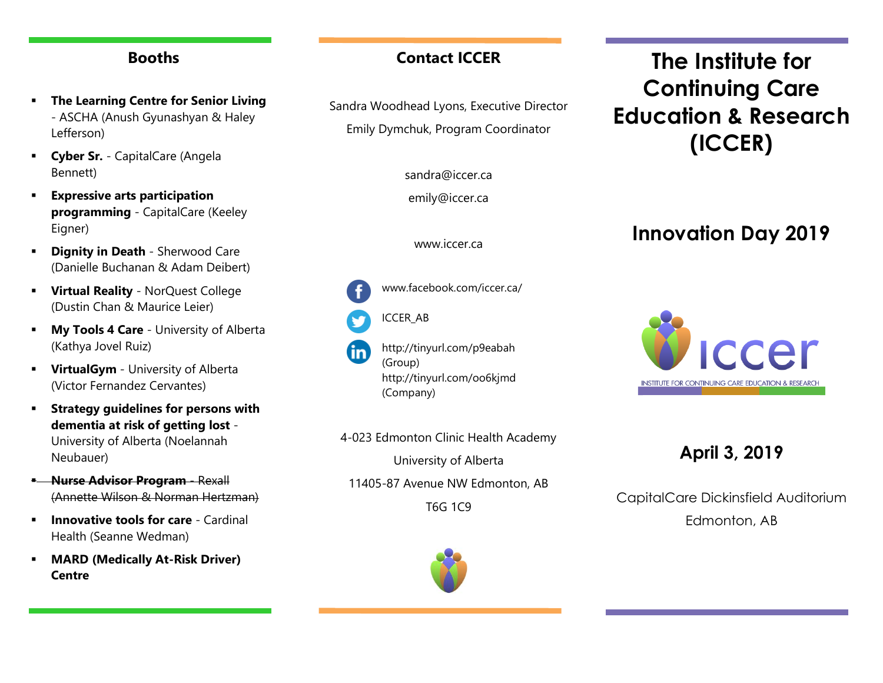#### **Booths**

- **The Learning Centre for Senior Living** - ASCHA (Anush Gyunashyan & Haley Lefferson)
- **Cyber Sr.** CapitalCare (Angela Bennett)
- **Expressive arts participation programming** - CapitalCare (Keeley Eigner)
- **Planity in Death Sherwood Care** (Danielle Buchanan & Adam Deibert)
- **Virtual Reality** NorQuest College (Dustin Chan & Maurice Leier)
- **My Tools 4 Care** University of Alberta (Kathya Jovel Ruiz)
- **VirtualGym** University of Alberta (Victor Fernandez Cervantes)
- **Strategy guidelines for persons with dementia at risk of getting lost** - University of Alberta (Noelannah Neubauer)
- **Nurse Advisor Program Rexall** (Annette Wilson & Norman Hertzman)
- **Innovative tools for care** Cardinal Health (Seanne Wedman)
- **MARD (Medically At-Risk Driver) Centre**

## **Contact ICCER**

Sandra Woodhead Lyons, Executive Director Emily Dymchuk, Program Coordinator

[sandra@iccer.ca](mailto:sandra@iccer.ca)

emily@iccer.ca

www.iccer.ca

www.facebook.com/iccer.ca/



http://tinyurl.com/p9eabah (Group) http://tinyurl.com/oo6kjmd (Company)

4-023 Edmonton Clinic Health Academy University of Alberta

11405-87 Avenue NW Edmonton, AB T6G 1C9

**The Institute for Continuing Care Education & Research (ICCER)**

# **Innovation Day 2019**



**April 3, 2019**

CapitalCare Dickinsfield Auditorium Edmonton, AB